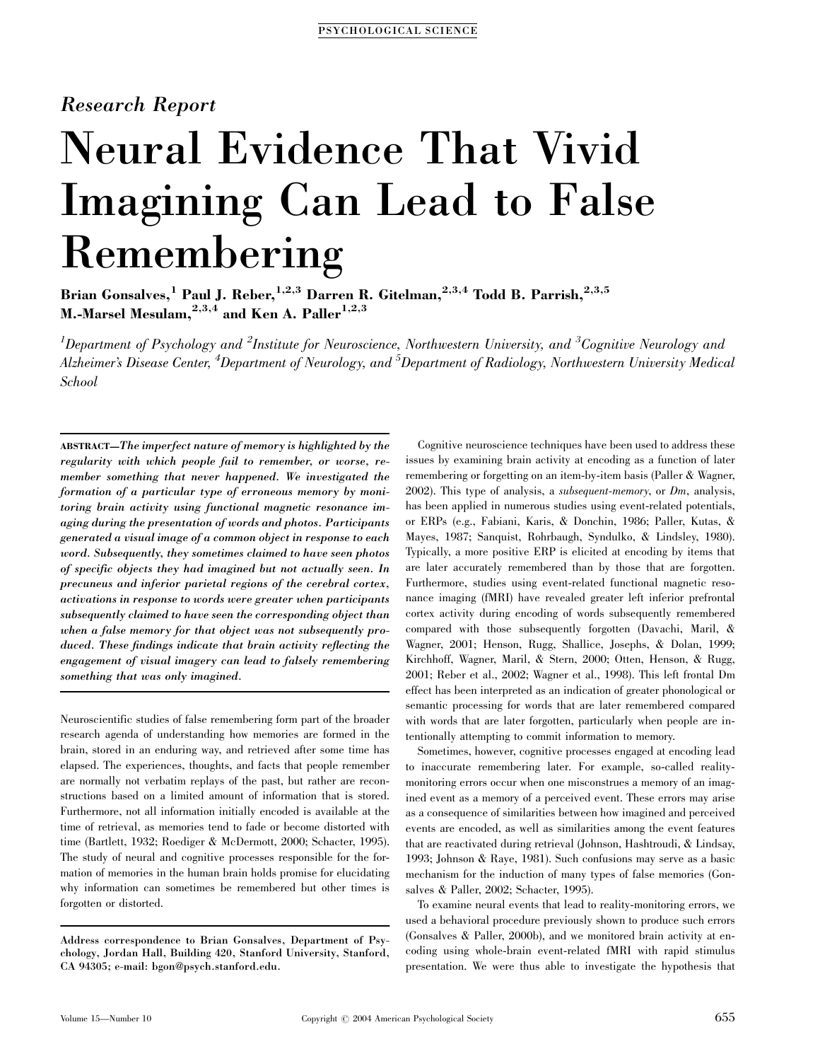# Research Report

# Neural Evidence That Vivid Imagining Can Lead to False Remembering

Brian Gonsalves, $^1$  Paul J. Reber, $^{1,2,3}$  Darren R. Gitelman, $^{2,3,4}$  Todd B. Parrish, $^{2,3,5}$ M.-Marsel Mesulam, $^{2,3,4}$  and Ken A. Paller $^{1,2,3}$ 

 $^1$ Department of Psychology and  $^2$ Institute for Neuroscience, Northwestern University, and  $^3$ Cognitive Neurology and Alzheimer's Disease Center, <sup>4</sup>Department of Neurology, and <sup>5</sup>Department of Radiology, Northwestern University Medical School

ABSTRACT—The imperfect nature of memory is highlighted by the regularity with which people fail to remember, or worse, remember something that never happened. We investigated the formation of a particular type of erroneous memory by monitoring brain activity using functional magnetic resonance imaging during the presentation of words and photos. Participants generated a visual image of a common object in response to each word. Subsequently, they sometimes claimed to have seen photos of specific objects they had imagined but not actually seen. In precuneus and inferior parietal regions of the cerebral cortex, activations in response to words were greater when participants subsequently claimed to have seen the corresponding object than when a false memory for that object was not subsequently produced. These findings indicate that brain activity reflecting the engagement of visual imagery can lead to falsely remembering something that was only imagined.

Neuroscientific studies of false remembering form part of the broader research agenda of understanding how memories are formed in the brain, stored in an enduring way, and retrieved after some time has elapsed. The experiences, thoughts, and facts that people remember are normally not verbatim replays of the past, but rather are reconstructions based on a limited amount of information that is stored. Furthermore, not all information initially encoded is available at the time of retrieval, as memories tend to fade or become distorted with time (Bartlett, 1932; Roediger & McDermott, 2000; Schacter, 1995). The study of neural and cognitive processes responsible for the formation of memories in the human brain holds promise for elucidating why information can sometimes be remembered but other times is forgotten or distorted.

Address correspondence to Brian Gonsalves, Department of Psychology, Jordan Hall, Building 420, Stanford University, Stanford, CA 94305; e-mail: bgon@psych.stanford.edu.

Cognitive neuroscience techniques have been used to address these issues by examining brain activity at encoding as a function of later remembering or forgetting on an item-by-item basis (Paller & Wagner, 2002). This type of analysis, a subsequent-memory, or Dm, analysis, has been applied in numerous studies using event-related potentials, or ERPs (e.g., Fabiani, Karis, & Donchin, 1986; Paller, Kutas, & Mayes, 1987; Sanquist, Rohrbaugh, Syndulko, & Lindsley, 1980). Typically, a more positive ERP is elicited at encoding by items that are later accurately remembered than by those that are forgotten. Furthermore, studies using event-related functional magnetic resonance imaging (fMRI) have revealed greater left inferior prefrontal cortex activity during encoding of words subsequently remembered compared with those subsequently forgotten (Davachi, Maril, & Wagner, 2001; Henson, Rugg, Shallice, Josephs, & Dolan, 1999; Kirchhoff, Wagner, Maril, & Stern, 2000; Otten, Henson, & Rugg, 2001; Reber et al., 2002; Wagner et al., 1998). This left frontal Dm effect has been interpreted as an indication of greater phonological or semantic processing for words that are later remembered compared with words that are later forgotten, particularly when people are intentionally attempting to commit information to memory.

Sometimes, however, cognitive processes engaged at encoding lead to inaccurate remembering later. For example, so-called realitymonitoring errors occur when one misconstrues a memory of an imagined event as a memory of a perceived event. These errors may arise as a consequence of similarities between how imagined and perceived events are encoded, as well as similarities among the event features that are reactivated during retrieval (Johnson, Hashtroudi, & Lindsay, 1993; Johnson & Raye, 1981). Such confusions may serve as a basic mechanism for the induction of many types of false memories (Gonsalves & Paller, 2002; Schacter, 1995).

To examine neural events that lead to reality-monitoring errors, we used a behavioral procedure previously shown to produce such errors (Gonsalves & Paller, 2000b), and we monitored brain activity at encoding using whole-brain event-related fMRI with rapid stimulus presentation. We were thus able to investigate the hypothesis that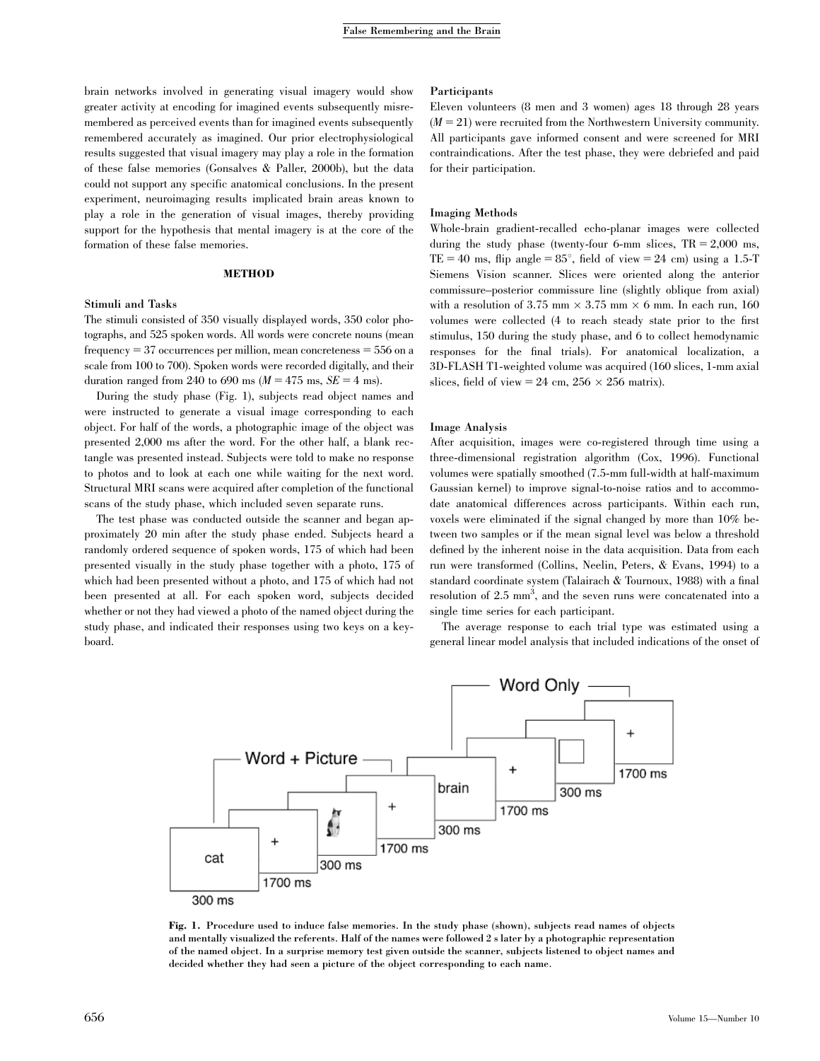brain networks involved in generating visual imagery would show greater activity at encoding for imagined events subsequently misremembered as perceived events than for imagined events subsequently remembered accurately as imagined. Our prior electrophysiological results suggested that visual imagery may play a role in the formation of these false memories (Gonsalves & Paller, 2000b), but the data could not support any specific anatomical conclusions. In the present experiment, neuroimaging results implicated brain areas known to play a role in the generation of visual images, thereby providing support for the hypothesis that mental imagery is at the core of the formation of these false memories.

#### METHOD

#### Stimuli and Tasks

The stimuli consisted of 350 visually displayed words, 350 color photographs, and 525 spoken words. All words were concrete nouns (mean frequency  $= 37$  occurrences per million, mean concreteness  $= 556$  on a scale from 100 to 700). Spoken words were recorded digitally, and their duration ranged from 240 to 690 ms ( $M = 475$  ms,  $SE = 4$  ms).

During the study phase (Fig. 1), subjects read object names and were instructed to generate a visual image corresponding to each object. For half of the words, a photographic image of the object was presented 2,000 ms after the word. For the other half, a blank rectangle was presented instead. Subjects were told to make no response to photos and to look at each one while waiting for the next word. Structural MRI scans were acquired after completion of the functional scans of the study phase, which included seven separate runs.

The test phase was conducted outside the scanner and began approximately 20 min after the study phase ended. Subjects heard a randomly ordered sequence of spoken words, 175 of which had been presented visually in the study phase together with a photo, 175 of which had been presented without a photo, and 175 of which had not been presented at all. For each spoken word, subjects decided whether or not they had viewed a photo of the named object during the study phase, and indicated their responses using two keys on a keyboard.

#### Participants

Eleven volunteers (8 men and 3 women) ages 18 through 28 years  $(M = 21)$  were recruited from the Northwestern University community. All participants gave informed consent and were screened for MRI contraindications. After the test phase, they were debriefed and paid for their participation.

#### Imaging Methods

Whole-brain gradient-recalled echo-planar images were collected during the study phase (twenty-four 6-mm slices,  $TR = 2,000$  ms, TE = 40 ms, flip angle =  $85^\circ$ , field of view = 24 cm) using a 1.5-T Siemens Vision scanner. Slices were oriented along the anterior commissure–posterior commissure line (slightly oblique from axial) with a resolution of 3.75 mm  $\times$  3.75 mm  $\times$  6 mm. In each run, 160 volumes were collected (4 to reach steady state prior to the first stimulus, 150 during the study phase, and 6 to collect hemodynamic responses for the final trials). For anatomical localization, a 3D-FLASH T1-weighted volume was acquired (160 slices, 1-mm axial slices, field of view = 24 cm,  $256 \times 256$  matrix).

#### Image Analysis

After acquisition, images were co-registered through time using a three-dimensional registration algorithm (Cox, 1996). Functional volumes were spatially smoothed (7.5-mm full-width at half-maximum Gaussian kernel) to improve signal-to-noise ratios and to accommodate anatomical differences across participants. Within each run, voxels were eliminated if the signal changed by more than 10% between two samples or if the mean signal level was below a threshold defined by the inherent noise in the data acquisition. Data from each run were transformed (Collins, Neelin, Peters, & Evans, 1994) to a standard coordinate system (Talairach & Tournoux, 1988) with a final resolution of 2.5 mm<sup>3</sup>, and the seven runs were concatenated into a single time series for each participant.

The average response to each trial type was estimated using a general linear model analysis that included indications of the onset of



Fig. 1. Procedure used to induce false memories. In the study phase (shown), subjects read names of objects and mentally visualized the referents. Half of the names were followed 2 s later by a photographic representation of the named object. In a surprise memory test given outside the scanner, subjects listened to object names and decided whether they had seen a picture of the object corresponding to each name.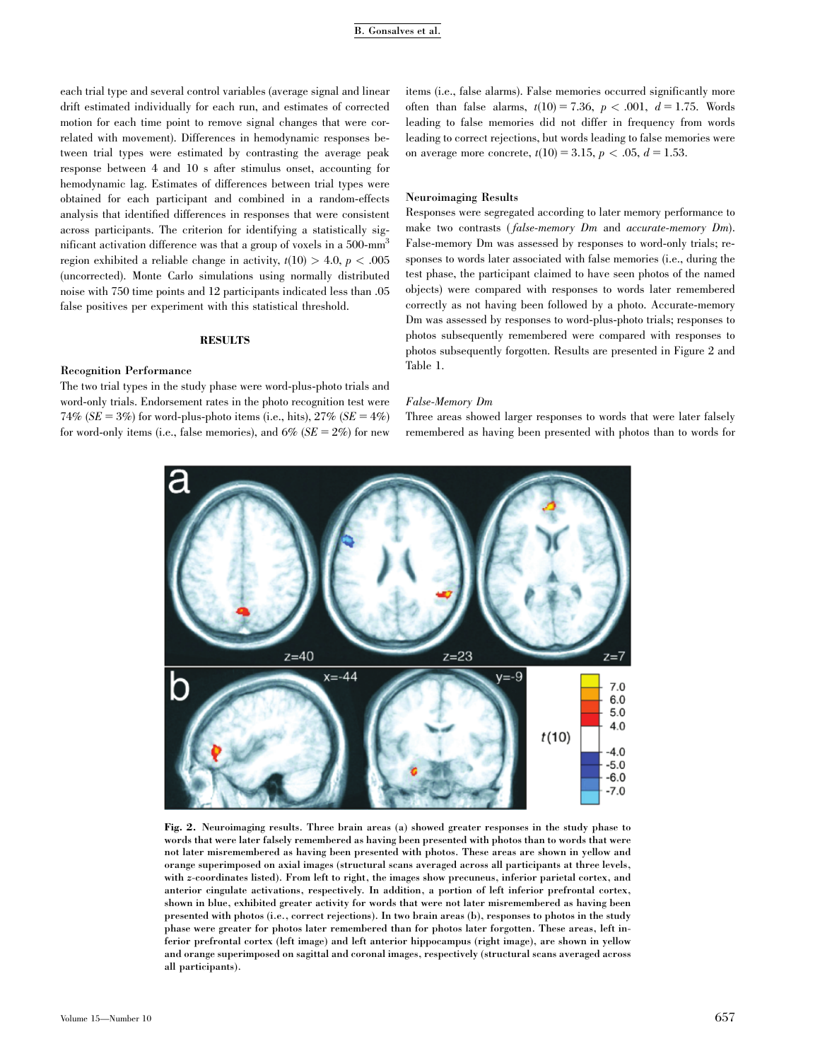each trial type and several control variables (average signal and linear drift estimated individually for each run, and estimates of corrected motion for each time point to remove signal changes that were correlated with movement). Differences in hemodynamic responses between trial types were estimated by contrasting the average peak response between 4 and 10 s after stimulus onset, accounting for hemodynamic lag. Estimates of differences between trial types were obtained for each participant and combined in a random-effects analysis that identified differences in responses that were consistent across participants. The criterion for identifying a statistically significant activation difference was that a group of voxels in a 500-mm<sup>3</sup> region exhibited a reliable change in activity,  $t(10) > 4.0$ ,  $p < .005$ (uncorrected). Monte Carlo simulations using normally distributed noise with 750 time points and 12 participants indicated less than .05 false positives per experiment with this statistical threshold.

#### **RESULTS**

#### Recognition Performance

The two trial types in the study phase were word-plus-photo trials and word-only trials. Endorsement rates in the photo recognition test were 74% ( $SE = 3\%$ ) for word-plus-photo items (i.e., hits),  $27\%$  ( $SE = 4\%$ ) for word-only items (i.e., false memories), and  $6\%$  ( $SE = 2\%$ ) for new

items (i.e., false alarms). False memories occurred significantly more often than false alarms,  $t(10) = 7.36$ ,  $p < .001$ ,  $d = 1.75$ . Words leading to false memories did not differ in frequency from words leading to correct rejections, but words leading to false memories were on average more concrete,  $t(10) = 3.15$ ,  $p < .05$ ,  $d = 1.53$ .

#### Neuroimaging Results

Responses were segregated according to later memory performance to make two contrasts (false-memory Dm and accurate-memory Dm). False-memory Dm was assessed by responses to word-only trials; responses to words later associated with false memories (i.e., during the test phase, the participant claimed to have seen photos of the named objects) were compared with responses to words later remembered correctly as not having been followed by a photo. Accurate-memory Dm was assessed by responses to word-plus-photo trials; responses to photos subsequently remembered were compared with responses to photos subsequently forgotten. Results are presented in Figure 2 and Table 1.

#### False-Memory Dm

Three areas showed larger responses to words that were later falsely remembered as having been presented with photos than to words for



Fig. 2. Neuroimaging results. Three brain areas (a) showed greater responses in the study phase to words that were later falsely remembered as having been presented with photos than to words that were not later misremembered as having been presented with photos. These areas are shown in yellow and orange superimposed on axial images (structural scans averaged across all participants at three levels, with z-coordinates listed). From left to right, the images show precuneus, inferior parietal cortex, and anterior cingulate activations, respectively. In addition, a portion of left inferior prefrontal cortex, shown in blue, exhibited greater activity for words that were not later misremembered as having been presented with photos (i.e., correct rejections). In two brain areas (b), responses to photos in the study phase were greater for photos later remembered than for photos later forgotten. These areas, left inferior prefrontal cortex (left image) and left anterior hippocampus (right image), are shown in yellow and orange superimposed on sagittal and coronal images, respectively (structural scans averaged across all participants).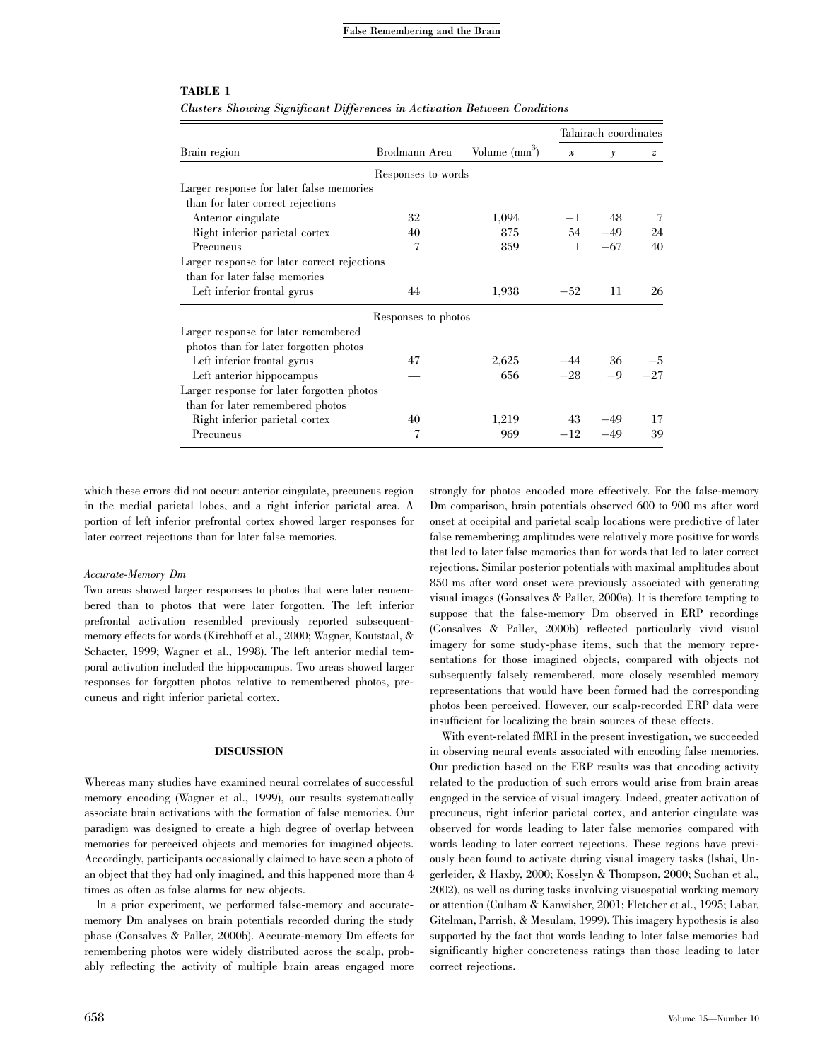| Brain region                                 | Brodmann Area       | Volume $(mm^3)$ | Talairach coordinates |          |                |
|----------------------------------------------|---------------------|-----------------|-----------------------|----------|----------------|
|                                              |                     |                 | $\mathcal{X}$         | $\gamma$ | $\overline{z}$ |
|                                              | Responses to words  |                 |                       |          |                |
| Larger response for later false memories     |                     |                 |                       |          |                |
| than for later correct rejections            |                     |                 |                       |          |                |
| Anterior cingulate                           | 32                  | 1,094           | $-1$                  | 48       | 7              |
| Right inferior parietal cortex               | 40                  | 875             | 54                    | $-49$    | 24             |
| Precuneus                                    | $\overline{7}$      | 859             | 1                     | $-67$    | 40             |
| Larger response for later correct rejections |                     |                 |                       |          |                |
| than for later false memories                |                     |                 |                       |          |                |
| Left inferior frontal gyrus                  | 44                  | 1,938           | $-52$                 | 11       | 26             |
|                                              | Responses to photos |                 |                       |          |                |
| Larger response for later remembered         |                     |                 |                       |          |                |
| photos than for later forgotten photos       |                     |                 |                       |          |                |
| Left inferior frontal gyrus                  | 47                  | 2,625           |                       | $-44$ 36 | $-5$           |
| Left anterior hippocampus                    |                     | 656             | $-28$                 | $-9$     | $-27$          |
| Larger response for later forgotten photos   |                     |                 |                       |          |                |
| than for later remembered photos             |                     |                 |                       |          |                |
| Right inferior parietal cortex               | 40                  | 1,219           | 43                    | $-49$    | 17             |
| Precuneus                                    | 7                   | 969             | $-12$                 | $-49$    | 39             |

## TABLE 1

Clusters Showing Significant Differences in Activation Between Conditions

which these errors did not occur: anterior cingulate, precuneus region in the medial parietal lobes, and a right inferior parietal area. A portion of left inferior prefrontal cortex showed larger responses for later correct rejections than for later false memories.

#### Accurate-Memory Dm

Two areas showed larger responses to photos that were later remembered than to photos that were later forgotten. The left inferior prefrontal activation resembled previously reported subsequentmemory effects for words (Kirchhoff et al., 2000; Wagner, Koutstaal, & Schacter, 1999; Wagner et al., 1998). The left anterior medial temporal activation included the hippocampus. Two areas showed larger responses for forgotten photos relative to remembered photos, precuneus and right inferior parietal cortex.

### DISCUSSION

Whereas many studies have examined neural correlates of successful memory encoding (Wagner et al., 1999), our results systematically associate brain activations with the formation of false memories. Our paradigm was designed to create a high degree of overlap between memories for perceived objects and memories for imagined objects. Accordingly, participants occasionally claimed to have seen a photo of an object that they had only imagined, and this happened more than 4 times as often as false alarms for new objects.

In a prior experiment, we performed false-memory and accuratememory Dm analyses on brain potentials recorded during the study phase (Gonsalves & Paller, 2000b). Accurate-memory Dm effects for remembering photos were widely distributed across the scalp, probably reflecting the activity of multiple brain areas engaged more strongly for photos encoded more effectively. For the false-memory Dm comparison, brain potentials observed 600 to 900 ms after word onset at occipital and parietal scalp locations were predictive of later false remembering; amplitudes were relatively more positive for words that led to later false memories than for words that led to later correct rejections. Similar posterior potentials with maximal amplitudes about 850 ms after word onset were previously associated with generating visual images (Gonsalves & Paller, 2000a). It is therefore tempting to suppose that the false-memory Dm observed in ERP recordings (Gonsalves & Paller, 2000b) reflected particularly vivid visual imagery for some study-phase items, such that the memory representations for those imagined objects, compared with objects not subsequently falsely remembered, more closely resembled memory representations that would have been formed had the corresponding photos been perceived. However, our scalp-recorded ERP data were insufficient for localizing the brain sources of these effects.

With event-related fMRI in the present investigation, we succeeded in observing neural events associated with encoding false memories. Our prediction based on the ERP results was that encoding activity related to the production of such errors would arise from brain areas engaged in the service of visual imagery. Indeed, greater activation of precuneus, right inferior parietal cortex, and anterior cingulate was observed for words leading to later false memories compared with words leading to later correct rejections. These regions have previously been found to activate during visual imagery tasks (Ishai, Ungerleider, & Haxby, 2000; Kosslyn & Thompson, 2000; Suchan et al., 2002), as well as during tasks involving visuospatial working memory or attention (Culham & Kanwisher, 2001; Fletcher et al., 1995; Labar, Gitelman, Parrish, & Mesulam, 1999). This imagery hypothesis is also supported by the fact that words leading to later false memories had significantly higher concreteness ratings than those leading to later correct rejections.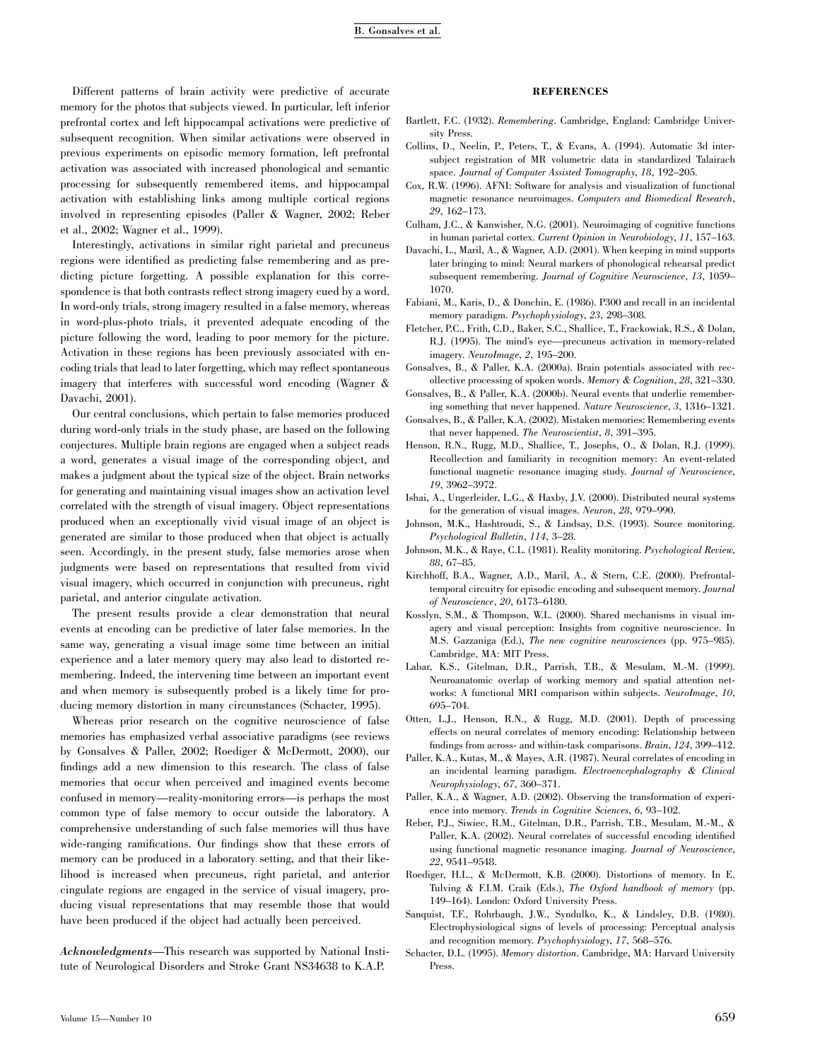Different patterns of brain activity were predictive of accurate memory for the photos that subjects viewed. In particular, left inferior prefrontal cortex and left hippocampal activations were predictive of subsequent recognition. When similar activations were observed in previous experiments on episodic memory formation, left prefrontal activation was associated with increased phonological and semantic processing for subsequently remembered items, and hippocampal activation with establishing links among multiple cortical regions involved in representing episodes (Paller & Wagner, 2002; Reber et al., 2002; Wagner et al., 1999).

Interestingly, activations in similar right parietal and precuneus regions were identified as predicting false remembering and as predicting picture forgetting. A possible explanation for this correspondence is that both contrasts reflect strong imagery cued by a word. In word-only trials, strong imagery resulted in a false memory, whereas in word-plus-photo trials, it prevented adequate encoding of the picture following the word, leading to poor memory for the picture. Activation in these regions has been previously associated with encoding trials that lead to later forgetting, which may reflect spontaneous imagery that interferes with successful word encoding (Wagner & Davachi, 2001).

Our central conclusions, which pertain to false memories produced during word-only trials in the study phase, are based on the following conjectures. Multiple brain regions are engaged when a subject reads a word, generates a visual image of the corresponding object, and makes a judgment about the typical size of the object. Brain networks for generating and maintaining visual images show an activation level correlated with the strength of visual imagery. Object representations produced when an exceptionally vivid visual image of an object is generated are similar to those produced when that object is actually seen. Accordingly, in the present study, false memories arose when judgments were based on representations that resulted from vivid visual imagery, which occurred in conjunction with precuneus, right parietal, and anterior cingulate activation.

The present results provide a clear demonstration that neural events at encoding can be predictive of later false memories. In the same way, generating a visual image some time between an initial experience and a later memory query may also lead to distorted remembering. Indeed, the intervening time between an important event and when memory is subsequently probed is a likely time for producing memory distortion in many circumstances (Schacter, 1995).

Whereas prior research on the cognitive neuroscience of false memories has emphasized verbal associative paradigms (see reviews by Gonsalves & Paller, 2002; Roediger & McDermott, 2000), our findings add a new dimension to this research. The class of false memories that occur when perceived and imagined events become confused in memory—reality-monitoring errors—is perhaps the most common type of false memory to occur outside the laboratory. A comprehensive understanding of such false memories will thus have wide-ranging ramifications. Our findings show that these errors of memory can be produced in a laboratory setting, and that their likelihood is increased when precuneus, right parietal, and anterior cingulate regions are engaged in the service of visual imagery, producing visual representations that may resemble those that would have been produced if the object had actually been perceived.

Acknowledgments—This research was supported by National Institute of Neurological Disorders and Stroke Grant NS34638 to K.A.P.

#### **REFERENCES**

- Bartlett, F.C. (1932). Remembering. Cambridge, England: Cambridge University Press.
- Collins, D., Neelin, P., Peters, T., & Evans, A. (1994). Automatic 3d intersubject registration of MR volumetric data in standardized Talairach space. Journal of Computer Assisted Tomography, 18, 192–205.
- Cox, R.W. (1996). AFNI: Software for analysis and visualization of functional magnetic resonance neuroimages. Computers and Biomedical Research, 29, 162–173.
- Culham, J.C., & Kanwisher, N.G. (2001). Neuroimaging of cognitive functions in human parietal cortex. Current Opinion in Neurobiology, 11, 157–163.
- Davachi, L., Maril, A., & Wagner, A.D. (2001). When keeping in mind supports later bringing to mind: Neural markers of phonological rehearsal predict subsequent remembering. Journal of Cognitive Neuroscience, 13, 1059– 1070.
- Fabiani, M., Karis, D., & Donchin, E. (1986). P300 and recall in an incidental memory paradigm. Psychophysiology, 23, 298–308.
- Fletcher, P.C., Frith, C.D., Baker, S.C., Shallice, T., Frackowiak, R.S., & Dolan, R.J. (1995). The mind's eye—precuneus activation in memory-related imagery. NeuroImage, 2, 195–200.
- Gonsalves, B., & Paller, K.A. (2000a). Brain potentials associated with recollective processing of spoken words. Memory & Cognition, 28, 321–330.
- Gonsalves, B., & Paller, K.A. (2000b). Neural events that underlie remembering something that never happened. Nature Neuroscience, 3, 1316–1321.
- Gonsalves, B., & Paller, K.A. (2002). Mistaken memories: Remembering events that never happened. The Neuroscientist, 8, 391–395.
- Henson, R.N., Rugg, M.D., Shallice, T., Josephs, O., & Dolan, R.J. (1999). Recollection and familiarity in recognition memory: An event-related functional magnetic resonance imaging study. Journal of Neuroscience, 19, 3962–3972.
- Ishai, A., Ungerleider, L.G., & Haxby, J.V. (2000). Distributed neural systems for the generation of visual images. Neuron, 28, 979–990.
- Johnson, M.K., Hashtroudi, S., & Lindsay, D.S. (1993). Source monitoring. Psychological Bulletin, 114, 3–28.
- Johnson, M.K., & Raye, C.L. (1981). Reality monitoring. Psychological Review, 88, 67–85.
- Kirchhoff, B.A., Wagner, A.D., Maril, A., & Stern, C.E. (2000). Prefrontaltemporal circuitry for episodic encoding and subsequent memory. Journal of Neuroscience, 20, 6173–6180.
- Kosslyn, S.M., & Thompson, W.L. (2000). Shared mechanisms in visual imagery and visual perception: Insights from cognitive neuroscience. In M.S. Gazzaniga (Ed.), The new cognitive neurosciences (pp. 975–985). Cambridge, MA: MIT Press.
- Labar, K.S., Gitelman, D.R., Parrish, T.B., & Mesulam, M.-M. (1999). Neuroanatomic overlap of working memory and spatial attention networks: A functional MRI comparison within subjects. NeuroImage, 10, 695–704.
- Otten, L.J., Henson, R.N., & Rugg, M.D. (2001). Depth of processing effects on neural correlates of memory encoding: Relationship between findings from across- and within-task comparisons. Brain, 124, 399–412.
- Paller, K.A., Kutas, M., & Mayes, A.R. (1987). Neural correlates of encoding in an incidental learning paradigm. Electroencephalography & Clinical Neurophysiology, 67, 360–371.
- Paller, K.A., & Wagner, A.D. (2002). Observing the transformation of experience into memory. Trends in Cognitive Sciences, 6, 93–102.
- Reber, P.J., Siwiec, R.M., Gitelman, D.R., Parrish, T.B., Mesulam, M.-M., & Paller, K.A. (2002). Neural correlates of successful encoding identified using functional magnetic resonance imaging. Journal of Neuroscience, 22, 9541–9548.
- Roediger, H.L., & McDermott, K.B. (2000). Distortions of memory. In E. Tulving & F.I.M. Craik (Eds.), The Oxford handbook of memory (pp. 149–164). London: Oxford University Press.
- Sanquist, T.F., Rohrbaugh, J.W., Syndulko, K., & Lindsley, D.B. (1980). Electrophysiological signs of levels of processing: Perceptual analysis and recognition memory. Psychophysiology, 17, 568–576.
- Schacter, D.L. (1995). Memory distortion. Cambridge, MA: Harvard University Press.